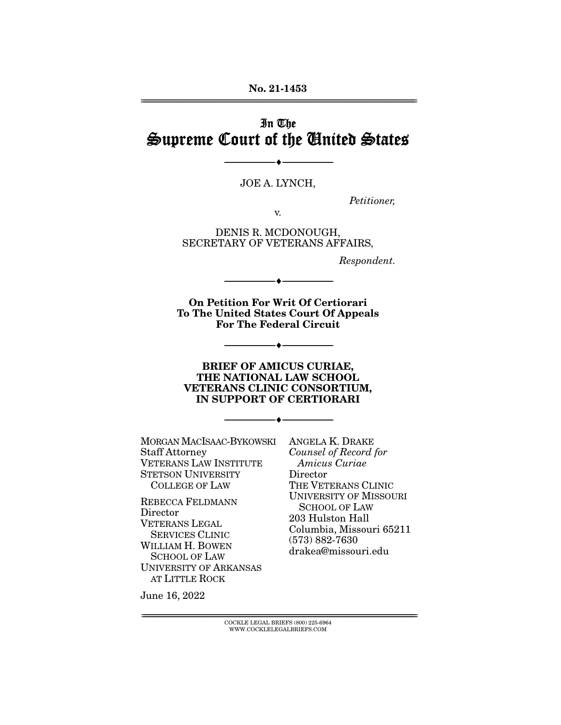**No. 21-1453**  ================================================================================================================

# In The Supreme Court of the United States

JOE A. LYNCH,

--------------------------------- ♦ ---------------------------------

Petitioner,

v.

DENIS R. MCDONOUGH, SECRETARY OF VETERANS AFFAIRS,

Respondent.

**On Petition For Writ Of Certiorari To The United States Court Of Appeals For The Federal Circuit** 

--------------------------------- ♦ ---------------------------------

--------------------------------- ♦ ---------------------------------

#### **BRIEF OF AMICUS CURIAE, THE NATIONAL LAW SCHOOL VETERANS CLINIC CONSORTIUM, IN SUPPORT OF CERTIORARI**

--------------------------------- ♦ ---------------------------------

MORGAN MACISAAC-BYKOWSKI Staff Attorney VETERANS LAW INSTITUTE STETSON UNIVERSITY COLLEGE OF LAW

REBECCA FELDMANN **Director** VETERANS LEGAL SERVICES CLINIC WILLIAM H. BOWEN SCHOOL OF LAW UNIVERSITY OF ARKANSAS AT LITTLE ROCK

ANGELA K. DRAKE Counsel of Record for Amicus Curiae Director THE VETERANS CLINIC UNIVERSITY OF MISSOURI SCHOOL OF LAW 203 Hulston Hall Columbia, Missouri 65211 (573) 882-7630 drakea@missouri.edu

June 16, 2022

================================================================================================================ COCKLE LEGAL BRIEFS (800) 225-6964 WWW.COCKLELEGALBRIEFS.COM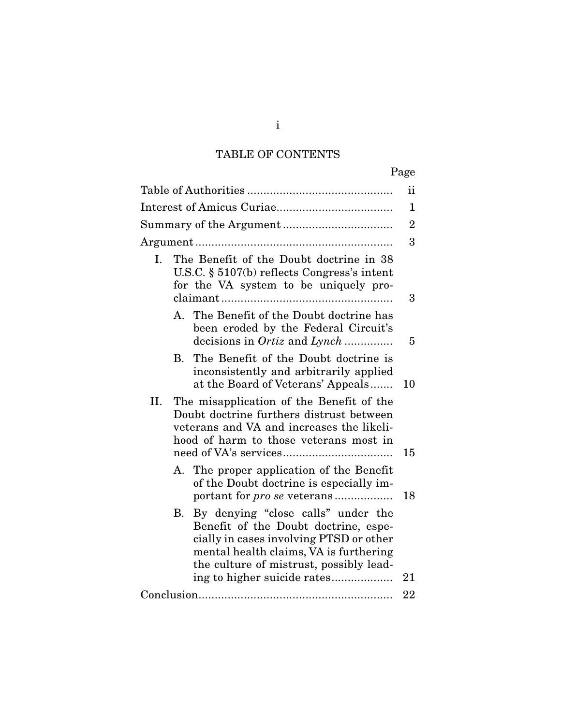# TABLE OF CONTENTS

|     |                      |                                                                                                                                                                                                            | Page           |
|-----|----------------------|------------------------------------------------------------------------------------------------------------------------------------------------------------------------------------------------------------|----------------|
|     |                      |                                                                                                                                                                                                            | ii             |
|     |                      |                                                                                                                                                                                                            | 1              |
|     |                      |                                                                                                                                                                                                            | $\overline{2}$ |
|     |                      |                                                                                                                                                                                                            | 3              |
| I.  |                      | The Benefit of the Doubt doctrine in 38<br>U.S.C. $\S$ 5107(b) reflects Congress's intent<br>for the VA system to be uniquely pro-                                                                         | 3              |
|     |                      |                                                                                                                                                                                                            |                |
|     |                      | A. The Benefit of the Doubt doctrine has<br>been eroded by the Federal Circuit's<br>decisions in <i>Ortiz</i> and <i>Lynch</i>                                                                             | 5              |
|     | $\mathbf{B}_{\cdot}$ | The Benefit of the Doubt doctrine is<br>inconsistently and arbitrarily applied<br>at the Board of Veterans' Appeals                                                                                        | 10             |
| II. |                      | The misapplication of the Benefit of the<br>Doubt doctrine furthers distrust between<br>veterans and VA and increases the likeli-<br>hood of harm to those veterans most in                                | 15             |
|     |                      | A. The proper application of the Benefit<br>of the Doubt doctrine is especially im-<br>portant for <i>pro se</i> veterans                                                                                  | 18             |
|     | В.                   | By denying "close calls" under the<br>Benefit of the Doubt doctrine, espe-<br>cially in cases involving PTSD or other<br>mental health claims, VA is furthering<br>the culture of mistrust, possibly lead- | 21             |
|     |                      |                                                                                                                                                                                                            | 22             |
|     |                      |                                                                                                                                                                                                            |                |

i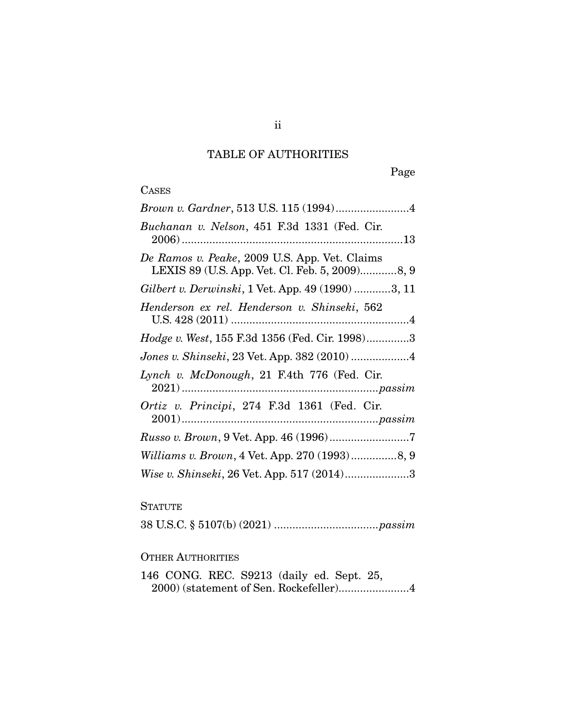## TABLE OF AUTHORITIES

Page

#### **CASES**

### **STATUTE**

38 U.S.C. § 5107(b) (2021) .................................. passim

#### OTHER AUTHORITIES

146 CONG. REC. S9213 (daily ed. Sept. 25, 2000) (statement of Sen. Rockefeller) ....................... 4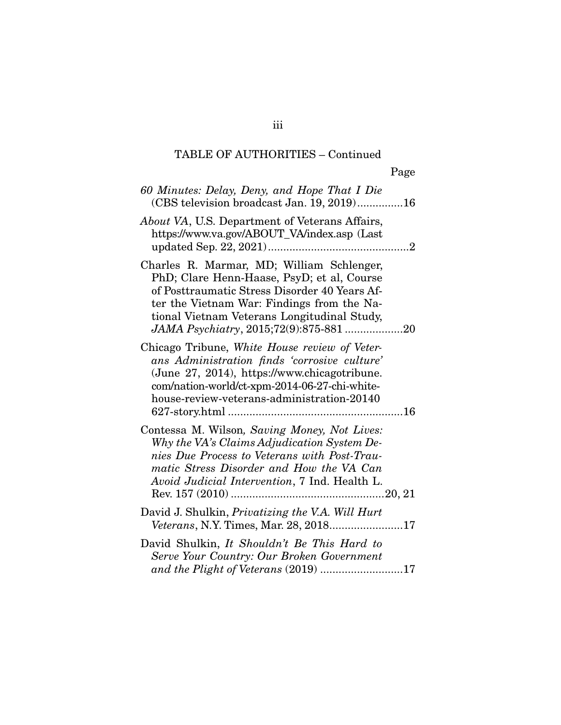| 60 Minutes: Delay, Deny, and Hope That I Die<br>(CBS television broadcast Jan. 19, 2019)16                                                                                                                                                                                      |  |
|---------------------------------------------------------------------------------------------------------------------------------------------------------------------------------------------------------------------------------------------------------------------------------|--|
| <i>About VA</i> , U.S. Department of Veterans Affairs,<br>https://www.va.gov/ABOUT_VA/index.asp (Last                                                                                                                                                                           |  |
| Charles R. Marmar, MD; William Schlenger,<br>PhD; Clare Henn-Haase, PsyD; et al, Course<br>of Posttraumatic Stress Disorder 40 Years Af-<br>ter the Vietnam War: Findings from the Na-<br>tional Vietnam Veterans Longitudinal Study,<br>JAMA Psychiatry, 2015;72(9):875-881 20 |  |
| Chicago Tribune, White House review of Veter-<br>ans Administration finds 'corrosive culture'<br>(June 27, 2014), https://www.chicagotribune.<br>com/nation-world/ct-xpm-2014-06-27-chi-white-<br>house-review-veterans-administration-20140                                    |  |
| Contessa M. Wilson, Saving Money, Not Lives:<br>Why the VA's Claims Adjudication System De-<br>nies Due Process to Veterans with Post-Trau-<br>matic Stress Disorder and How the VA Can<br>Avoid Judicial Intervention, 7 Ind. Health L.                                        |  |
| David J. Shulkin, <i>Privatizing the V.A. Will Hurt</i><br><i>Veterans, N.Y. Times, Mar. 28, 201817</i>                                                                                                                                                                         |  |
| David Shulkin, It Shouldn't Be This Hard to<br>Serve Your Country: Our Broken Government<br>and the Plight of Veterans $(2019)$ 17                                                                                                                                              |  |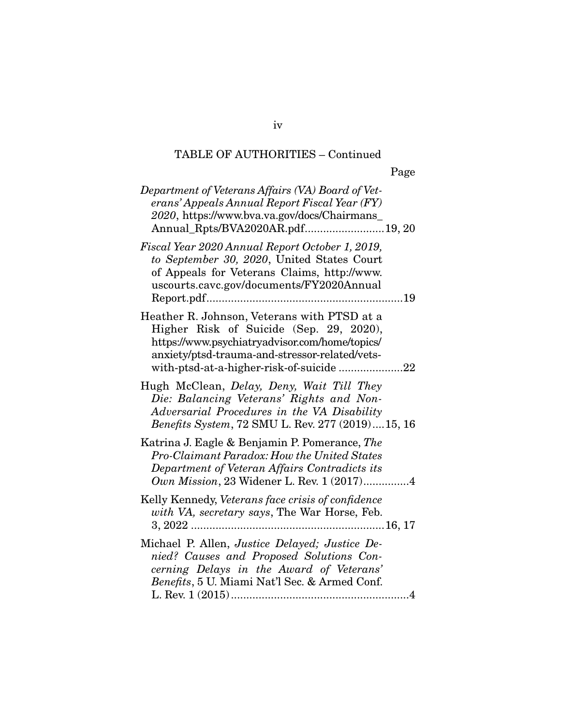|--|--|

| Department of Veterans Affairs (VA) Board of Vet-<br>erans' Appeals Annual Report Fiscal Year (FY)<br>2020, https://www.bva.va.gov/docs/Chairmans_<br>Annual_Rpts/BVA2020AR.pdf19, 20                                                  |
|----------------------------------------------------------------------------------------------------------------------------------------------------------------------------------------------------------------------------------------|
| Fiscal Year 2020 Annual Report October 1, 2019,<br>to September 30, 2020, United States Court<br>of Appeals for Veterans Claims, http://www.<br>uscourts.cavc.gov/documents/FY2020Annual<br>19                                         |
| Heather R. Johnson, Veterans with PTSD at a<br>Higher Risk of Suicide (Sep. 29, 2020),<br>https://www.psychiatryadvisor.com/home/topics/<br>anxiety/ptsd-trauma-and-stressor-related/vets-<br>with-ptsd-at-a-higher-risk-of-suicide 22 |
| Hugh McClean, Delay, Deny, Wait Till They<br>Die: Balancing Veterans' Rights and Non-<br>Adversarial Procedures in the VA Disability<br>Benefits System, 72 SMU L. Rev. 277 (2019)15, 16                                               |
| Katrina J. Eagle & Benjamin P. Pomerance, The<br>Pro-Claimant Paradox: How the United States<br>Department of Veteran Affairs Contradicts its<br>Own Mission, 23 Widener L. Rev. 1 (2017)4                                             |
| Kelly Kennedy, Veterans face crisis of confidence<br>with VA, secretary says, The War Horse, Feb.                                                                                                                                      |
| Michael P. Allen, Justice Delayed; Justice De-<br>nied? Causes and Proposed Solutions Con-<br>cerning Delays in the Award of Veterans'<br>Benefits, 5 U. Miami Nat'l Sec. & Armed Conf.                                                |

iv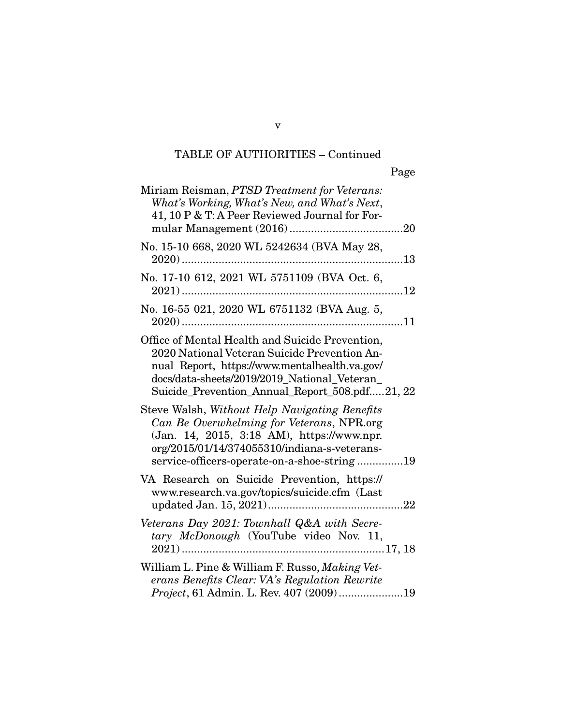| Miriam Reisman, PTSD Treatment for Veterans:<br>What's Working, What's New, and What's Next,<br>41, 10 P & T: A Peer Reviewed Journal for For-                                                                                                     |
|----------------------------------------------------------------------------------------------------------------------------------------------------------------------------------------------------------------------------------------------------|
| No. 15-10 668, 2020 WL 5242634 (BVA May 28,                                                                                                                                                                                                        |
| No. 17-10 612, 2021 WL 5751109 (BVA Oct. 6,                                                                                                                                                                                                        |
| No. 16-55 021, 2020 WL 6751132 (BVA Aug. 5,                                                                                                                                                                                                        |
| Office of Mental Health and Suicide Prevention,<br>2020 National Veteran Suicide Prevention An-<br>nual Report, https://www.mentalhealth.va.gov/<br>docs/data-sheets/2019/2019_National_Veteran_<br>Suicide_Prevention_Annual_Report_508.pdf21, 22 |
| Steve Walsh, Without Help Navigating Benefits<br>Can Be Overwhelming for Veterans, NPR.org<br>(Jan. 14, 2015, 3:18 AM), https://www.npr.<br>org/2015/01/14/374055310/indiana-s-veterans-<br>service-officers-operate-on-a-shoe-string19            |
| VA Research on Suicide Prevention, https://<br>www.research.va.gov/topics/suicide.cfm (Last                                                                                                                                                        |
| Veterans Day 2021: Townhall Q&A with Secre-<br>tary McDonough (YouTube video Nov. 11,                                                                                                                                                              |
| William L. Pine & William F. Russo, Making Vet-<br>erans Benefits Clear: VA's Regulation Rewrite                                                                                                                                                   |

v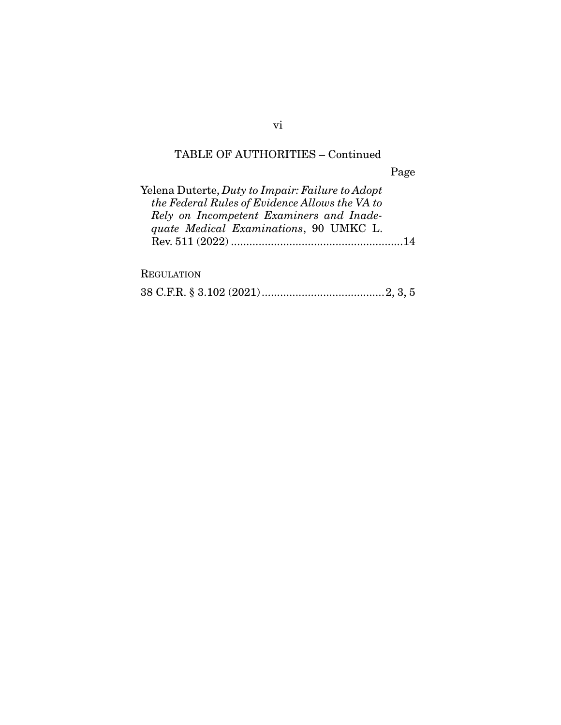Page

| Yelena Duterte, Duty to Impair: Failure to Adopt |  |
|--------------------------------------------------|--|
| the Federal Rules of Evidence Allows the VA to   |  |
| Rely on Incompetent Examiners and Inade-         |  |
| quate Medical Examinations, 90 UMKC L.           |  |
|                                                  |  |
|                                                  |  |

## **REGULATION**

|--|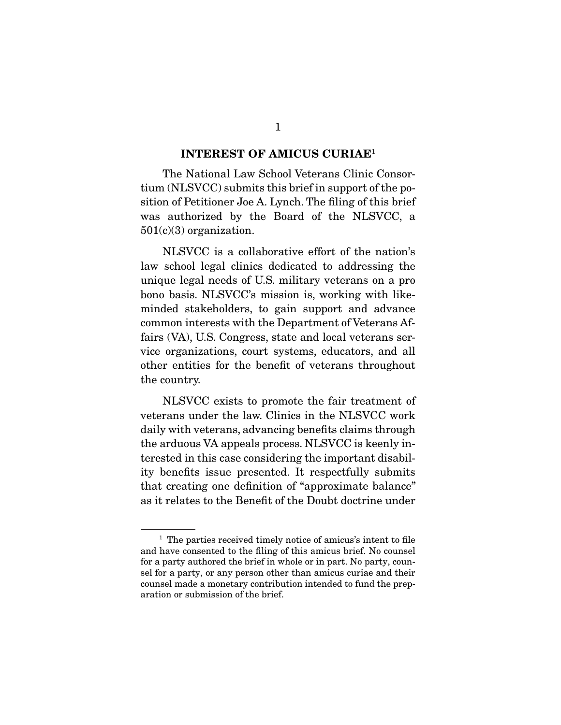#### **INTEREST OF AMICUS CURIAE**<sup>1</sup>

 The National Law School Veterans Clinic Consortium (NLSVCC) submits this brief in support of the position of Petitioner Joe A. Lynch. The filing of this brief was authorized by the Board of the NLSVCC, a  $501(c)(3)$  organization.

 NLSVCC is a collaborative effort of the nation's law school legal clinics dedicated to addressing the unique legal needs of U.S. military veterans on a pro bono basis. NLSVCC's mission is, working with likeminded stakeholders, to gain support and advance common interests with the Department of Veterans Affairs (VA), U.S. Congress, state and local veterans service organizations, court systems, educators, and all other entities for the benefit of veterans throughout the country.

 NLSVCC exists to promote the fair treatment of veterans under the law. Clinics in the NLSVCC work daily with veterans, advancing benefits claims through the arduous VA appeals process. NLSVCC is keenly interested in this case considering the important disability benefits issue presented. It respectfully submits that creating one definition of "approximate balance" as it relates to the Benefit of the Doubt doctrine under

<sup>&</sup>lt;sup>1</sup> The parties received timely notice of amicus's intent to file and have consented to the filing of this amicus brief. No counsel for a party authored the brief in whole or in part. No party, counsel for a party, or any person other than amicus curiae and their counsel made a monetary contribution intended to fund the preparation or submission of the brief.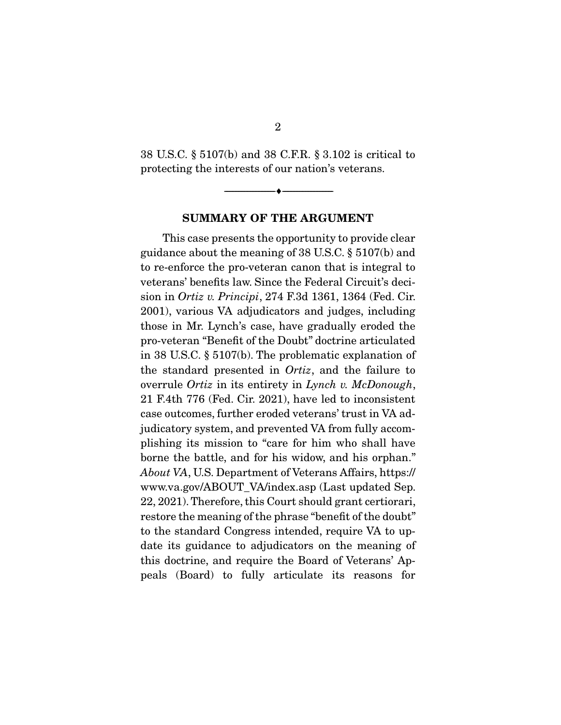38 U.S.C. § 5107(b) and 38 C.F.R. § 3.102 is critical to protecting the interests of our nation's veterans.

--------------------------------- ♦ ---------------------------------

**SUMMARY OF THE ARGUMENT** 

 This case presents the opportunity to provide clear guidance about the meaning of 38 U.S.C. § 5107(b) and to re-enforce the pro-veteran canon that is integral to veterans' benefits law. Since the Federal Circuit's decision in Ortiz v. Principi, 274 F.3d 1361, 1364 (Fed. Cir. 2001), various VA adjudicators and judges, including those in Mr. Lynch's case, have gradually eroded the pro-veteran "Benefit of the Doubt" doctrine articulated in 38 U.S.C. § 5107(b). The problematic explanation of the standard presented in Ortiz, and the failure to overrule *Ortiz* in its entirety in *Lynch v. McDonough*, 21 F.4th 776 (Fed. Cir. 2021), have led to inconsistent case outcomes, further eroded veterans' trust in VA adjudicatory system, and prevented VA from fully accomplishing its mission to "care for him who shall have borne the battle, and for his widow, and his orphan." About VA, U.S. Department of Veterans Affairs, https:// www.va.gov/ABOUT\_VA/index.asp (Last updated Sep. 22, 2021). Therefore, this Court should grant certiorari, restore the meaning of the phrase "benefit of the doubt" to the standard Congress intended, require VA to update its guidance to adjudicators on the meaning of this doctrine, and require the Board of Veterans' Appeals (Board) to fully articulate its reasons for

2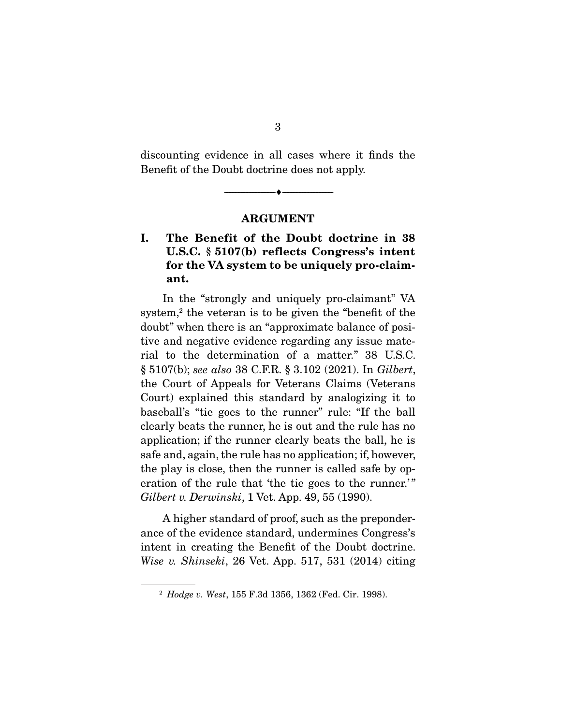discounting evidence in all cases where it finds the Benefit of the Doubt doctrine does not apply.

--------------------------------- ♦ ---------------------------------

#### **ARGUMENT**

## **I. The Benefit of the Doubt doctrine in 38 U.S.C. § 5107(b) reflects Congress's intent for the VA system to be uniquely pro-claimant.**

 In the "strongly and uniquely pro-claimant" VA system.<sup>2</sup> the veteran is to be given the "benefit of the doubt" when there is an "approximate balance of positive and negative evidence regarding any issue material to the determination of a matter." 38 U.S.C. § 5107(b); see also 38 C.F.R. § 3.102 (2021). In Gilbert, the Court of Appeals for Veterans Claims (Veterans Court) explained this standard by analogizing it to baseball's "tie goes to the runner" rule: "If the ball clearly beats the runner, he is out and the rule has no application; if the runner clearly beats the ball, he is safe and, again, the rule has no application; if, however, the play is close, then the runner is called safe by operation of the rule that 'the tie goes to the runner.'" Gilbert v. Derwinski, 1 Vet. App. 49, 55 (1990).

 A higher standard of proof, such as the preponderance of the evidence standard, undermines Congress's intent in creating the Benefit of the Doubt doctrine. Wise v. Shinseki, 26 Vet. App. 517, 531 (2014) citing

3

<sup>2</sup> Hodge v. West, 155 F.3d 1356, 1362 (Fed. Cir. 1998).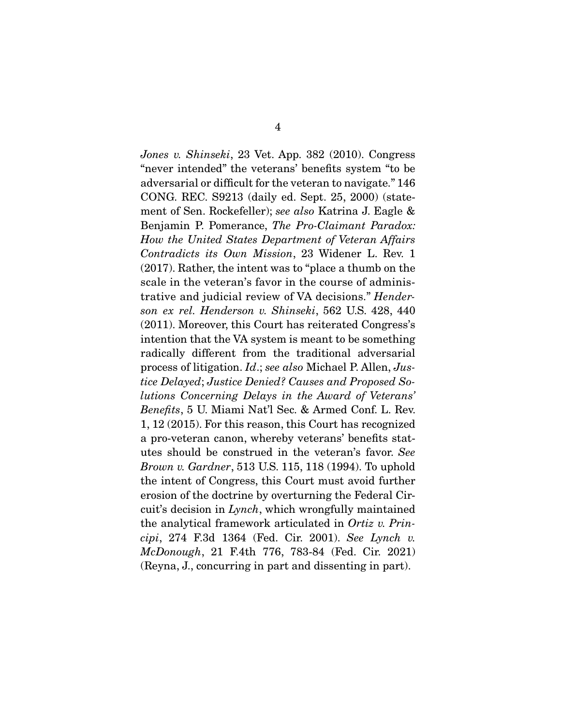Jones v. Shinseki, 23 Vet. App. 382 (2010). Congress "never intended" the veterans' benefits system "to be adversarial or difficult for the veteran to navigate." 146 CONG. REC. S9213 (daily ed. Sept. 25, 2000) (statement of Sen. Rockefeller); see also Katrina J. Eagle & Benjamin P. Pomerance, The Pro-Claimant Paradox: How the United States Department of Veteran Affairs Contradicts its Own Mission, 23 Widener L. Rev. 1 (2017). Rather, the intent was to "place a thumb on the scale in the veteran's favor in the course of administrative and judicial review of VA decisions." Henderson ex rel. Henderson v. Shinseki, 562 U.S. 428, 440 (2011). Moreover, this Court has reiterated Congress's intention that the VA system is meant to be something radically different from the traditional adversarial process of litigation. Id.; see also Michael P. Allen, Justice Delayed; Justice Denied? Causes and Proposed Solutions Concerning Delays in the Award of Veterans' Benefits, 5 U. Miami Nat'l Sec. & Armed Conf. L. Rev. 1, 12 (2015). For this reason, this Court has recognized a pro-veteran canon, whereby veterans' benefits statutes should be construed in the veteran's favor. See *Brown v. Gardner*, 513 U.S. 115, 118 (1994). To uphold the intent of Congress, this Court must avoid further erosion of the doctrine by overturning the Federal Circuit's decision in Lynch, which wrongfully maintained the analytical framework articulated in Ortiz v. Principi, 274 F.3d 1364 (Fed. Cir. 2001). See Lynch v. McDonough, 21 F.4th 776, 783-84 (Fed. Cir. 2021) (Reyna, J., concurring in part and dissenting in part).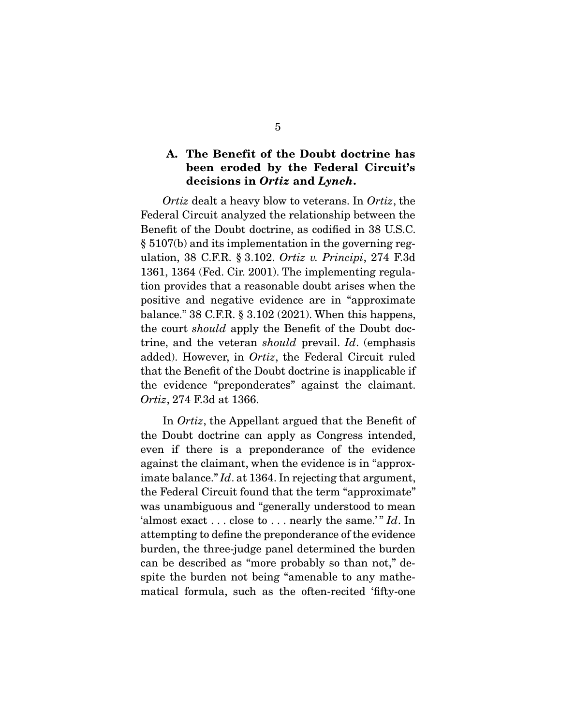### **A. The Benefit of the Doubt doctrine has been eroded by the Federal Circuit's decisions in** *Ortiz* **and** *Lynch***.**

Ortiz dealt a heavy blow to veterans. In Ortiz, the Federal Circuit analyzed the relationship between the Benefit of the Doubt doctrine, as codified in 38 U.S.C. § 5107(b) and its implementation in the governing regulation, 38 C.F.R. § 3.102. Ortiz v. Principi, 274 F.3d 1361, 1364 (Fed. Cir. 2001). The implementing regulation provides that a reasonable doubt arises when the positive and negative evidence are in "approximate balance." 38 C.F.R. § 3.102 (2021). When this happens, the court should apply the Benefit of the Doubt doctrine, and the veteran should prevail. Id. (emphasis added). However, in Ortiz, the Federal Circuit ruled that the Benefit of the Doubt doctrine is inapplicable if the evidence "preponderates" against the claimant. Ortiz, 274 F.3d at 1366.

 In Ortiz, the Appellant argued that the Benefit of the Doubt doctrine can apply as Congress intended, even if there is a preponderance of the evidence against the claimant, when the evidence is in "approximate balance." Id. at 1364. In rejecting that argument, the Federal Circuit found that the term "approximate" was unambiguous and "generally understood to mean 'almost exact  $\dots$  close to  $\dots$  nearly the same.'" Id. In attempting to define the preponderance of the evidence burden, the three-judge panel determined the burden can be described as "more probably so than not," despite the burden not being "amenable to any mathematical formula, such as the often-recited 'fifty-one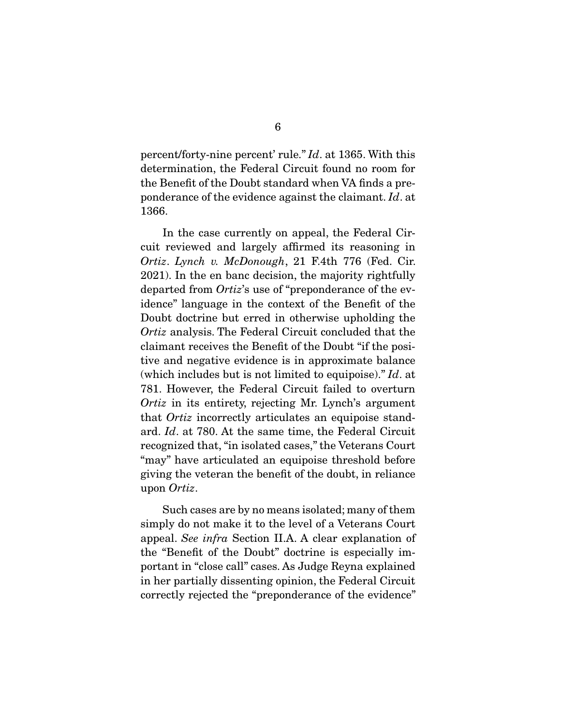percent/forty-nine percent' rule." Id. at 1365. With this determination, the Federal Circuit found no room for the Benefit of the Doubt standard when VA finds a preponderance of the evidence against the claimant. Id. at 1366.

 In the case currently on appeal, the Federal Circuit reviewed and largely affirmed its reasoning in Ortiz. Lynch v. McDonough, 21 F.4th 776 (Fed. Cir. 2021). In the en banc decision, the majority rightfully departed from Ortiz's use of "preponderance of the evidence" language in the context of the Benefit of the Doubt doctrine but erred in otherwise upholding the Ortiz analysis. The Federal Circuit concluded that the claimant receives the Benefit of the Doubt "if the positive and negative evidence is in approximate balance (which includes but is not limited to equipoise)."  $Id$  at 781. However, the Federal Circuit failed to overturn Ortiz in its entirety, rejecting Mr. Lynch's argument that Ortiz incorrectly articulates an equipoise standard. Id. at 780. At the same time, the Federal Circuit recognized that, "in isolated cases," the Veterans Court "may" have articulated an equipoise threshold before giving the veteran the benefit of the doubt, in reliance upon Ortiz.

 Such cases are by no means isolated; many of them simply do not make it to the level of a Veterans Court appeal. See infra Section II.A. A clear explanation of the "Benefit of the Doubt" doctrine is especially important in "close call" cases. As Judge Reyna explained in her partially dissenting opinion, the Federal Circuit correctly rejected the "preponderance of the evidence"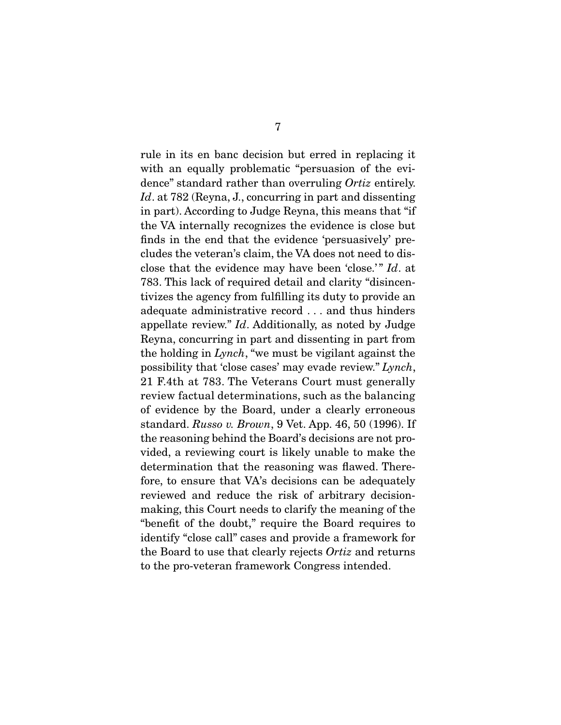rule in its en banc decision but erred in replacing it with an equally problematic "persuasion of the evidence" standard rather than overruling Ortiz entirely. Id. at 782 (Reyna, J., concurring in part and dissenting in part). According to Judge Reyna, this means that "if the VA internally recognizes the evidence is close but finds in the end that the evidence 'persuasively' precludes the veteran's claim, the VA does not need to disclose that the evidence may have been 'close.'" Id. at 783. This lack of required detail and clarity "disincentivizes the agency from fulfilling its duty to provide an adequate administrative record . . . and thus hinders appellate review."  $Id$ . Additionally, as noted by Judge Reyna, concurring in part and dissenting in part from the holding in Lynch, "we must be vigilant against the possibility that 'close cases' may evade review." Lynch, 21 F.4th at 783. The Veterans Court must generally review factual determinations, such as the balancing of evidence by the Board, under a clearly erroneous standard. Russo v. Brown, 9 Vet. App. 46, 50 (1996). If the reasoning behind the Board's decisions are not provided, a reviewing court is likely unable to make the determination that the reasoning was flawed. Therefore, to ensure that VA's decisions can be adequately reviewed and reduce the risk of arbitrary decisionmaking, this Court needs to clarify the meaning of the "benefit of the doubt," require the Board requires to identify "close call" cases and provide a framework for the Board to use that clearly rejects Ortiz and returns to the pro-veteran framework Congress intended.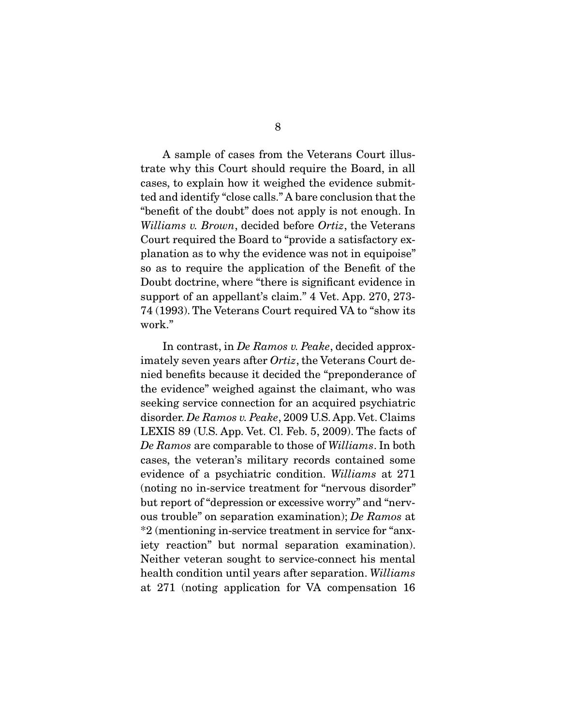A sample of cases from the Veterans Court illustrate why this Court should require the Board, in all cases, to explain how it weighed the evidence submitted and identify "close calls." A bare conclusion that the "benefit of the doubt" does not apply is not enough. In Williams v. Brown, decided before Ortiz, the Veterans Court required the Board to "provide a satisfactory explanation as to why the evidence was not in equipoise" so as to require the application of the Benefit of the Doubt doctrine, where "there is significant evidence in support of an appellant's claim." 4 Vet. App. 270, 273- 74 (1993). The Veterans Court required VA to "show its work."

In contrast, in De Ramos v. Peake, decided approximately seven years after Ortiz, the Veterans Court denied benefits because it decided the "preponderance of the evidence" weighed against the claimant, who was seeking service connection for an acquired psychiatric disorder. De Ramos v. Peake, 2009 U.S. App. Vet. Claims LEXIS 89 (U.S. App. Vet. Cl. Feb. 5, 2009). The facts of De Ramos are comparable to those of Williams. In both cases, the veteran's military records contained some evidence of a psychiatric condition. Williams at 271 (noting no in-service treatment for "nervous disorder" but report of "depression or excessive worry" and "nervous trouble" on separation examination); De Ramos at \*2 (mentioning in-service treatment in service for "anxiety reaction" but normal separation examination). Neither veteran sought to service-connect his mental health condition until years after separation. Williams at 271 (noting application for VA compensation 16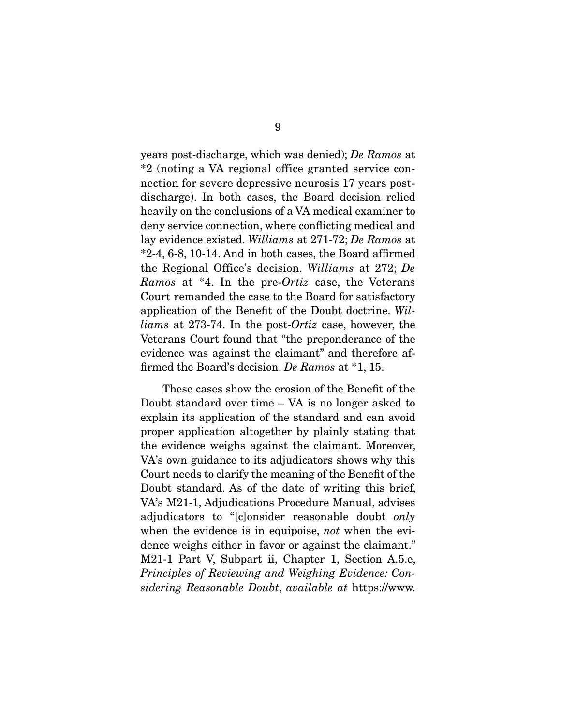years post-discharge, which was denied); De Ramos at \*2 (noting a VA regional office granted service connection for severe depressive neurosis 17 years postdischarge). In both cases, the Board decision relied heavily on the conclusions of a VA medical examiner to deny service connection, where conflicting medical and lay evidence existed. Williams at 271-72; De Ramos at \*2-4, 6-8, 10-14. And in both cases, the Board affirmed the Regional Office's decision. Williams at 272; De Ramos at \*4. In the pre-Ortiz case, the Veterans Court remanded the case to the Board for satisfactory application of the Benefit of the Doubt doctrine. Williams at 273-74. In the post-Ortiz case, however, the Veterans Court found that "the preponderance of the evidence was against the claimant" and therefore affirmed the Board's decision. De Ramos at \*1, 15.

 These cases show the erosion of the Benefit of the Doubt standard over time – VA is no longer asked to explain its application of the standard and can avoid proper application altogether by plainly stating that the evidence weighs against the claimant. Moreover, VA's own guidance to its adjudicators shows why this Court needs to clarify the meaning of the Benefit of the Doubt standard. As of the date of writing this brief, VA's M21-1, Adjudications Procedure Manual, advises adjudicators to "[c]onsider reasonable doubt only when the evidence is in equipoise, not when the evidence weighs either in favor or against the claimant." M21-1 Part V, Subpart ii, Chapter 1, Section A.5.e, Principles of Reviewing and Weighing Evidence: Considering Reasonable Doubt, available at https://www.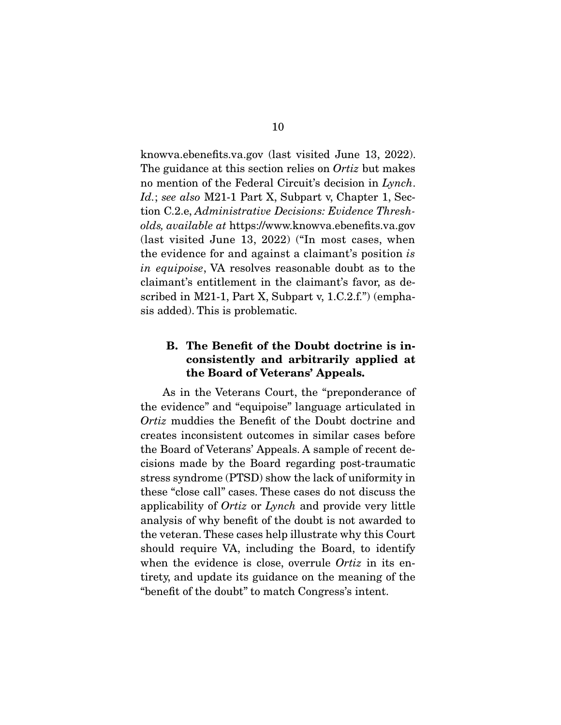knowva.ebenefits.va.gov (last visited June 13, 2022). The guidance at this section relies on *Ortiz* but makes no mention of the Federal Circuit's decision in Lynch. Id.; see also M21-1 Part X, Subpart v, Chapter 1, Section C.2.e, Administrative Decisions: Evidence Thresholds, available at https://www.knowva.ebenefits.va.gov (last visited June 13, 2022) ("In most cases, when the evidence for and against a claimant's position is in equipoise, VA resolves reasonable doubt as to the claimant's entitlement in the claimant's favor, as described in M21-1, Part X, Subpart v, 1.C.2.f.") (emphasis added). This is problematic.

### **B. The Benefit of the Doubt doctrine is inconsistently and arbitrarily applied at the Board of Veterans' Appeals.**

 As in the Veterans Court, the "preponderance of the evidence" and "equipoise" language articulated in Ortiz muddies the Benefit of the Doubt doctrine and creates inconsistent outcomes in similar cases before the Board of Veterans' Appeals. A sample of recent decisions made by the Board regarding post-traumatic stress syndrome (PTSD) show the lack of uniformity in these "close call" cases. These cases do not discuss the applicability of Ortiz or Lynch and provide very little analysis of why benefit of the doubt is not awarded to the veteran. These cases help illustrate why this Court should require VA, including the Board, to identify when the evidence is close, overrule *Ortiz* in its entirety, and update its guidance on the meaning of the "benefit of the doubt" to match Congress's intent.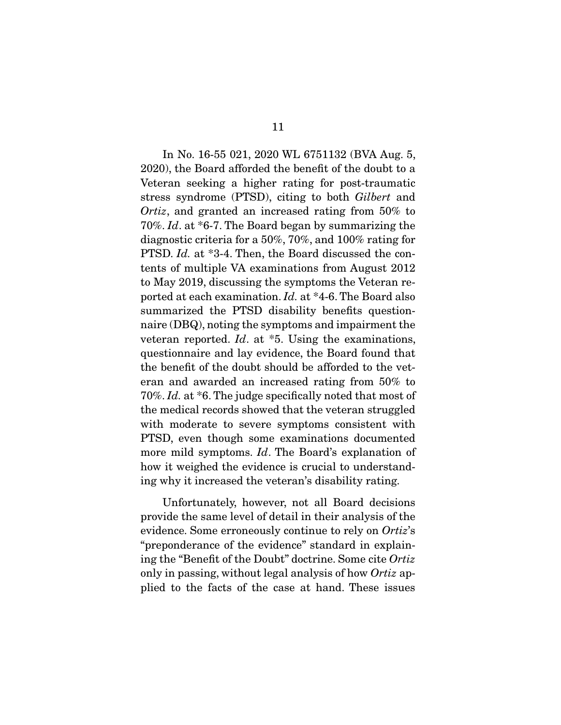In No. 16-55 021, 2020 WL 6751132 (BVA Aug. 5, 2020), the Board afforded the benefit of the doubt to a Veteran seeking a higher rating for post-traumatic stress syndrome (PTSD), citing to both Gilbert and Ortiz, and granted an increased rating from 50% to 70%. Id. at \*6-7. The Board began by summarizing the diagnostic criteria for a 50%, 70%, and 100% rating for PTSD. Id. at \*3-4. Then, the Board discussed the contents of multiple VA examinations from August 2012 to May 2019, discussing the symptoms the Veteran reported at each examination. Id. at \*4-6. The Board also summarized the PTSD disability benefits questionnaire (DBQ), noting the symptoms and impairment the veteran reported.  $Id.$  at  $*5.$  Using the examinations, questionnaire and lay evidence, the Board found that the benefit of the doubt should be afforded to the veteran and awarded an increased rating from 50% to 70%. Id. at \*6. The judge specifically noted that most of the medical records showed that the veteran struggled with moderate to severe symptoms consistent with PTSD, even though some examinations documented more mild symptoms. Id. The Board's explanation of how it weighed the evidence is crucial to understanding why it increased the veteran's disability rating.

 Unfortunately, however, not all Board decisions provide the same level of detail in their analysis of the evidence. Some erroneously continue to rely on Ortiz's "preponderance of the evidence" standard in explaining the "Benefit of the Doubt" doctrine. Some cite Ortiz only in passing, without legal analysis of how Ortiz applied to the facts of the case at hand. These issues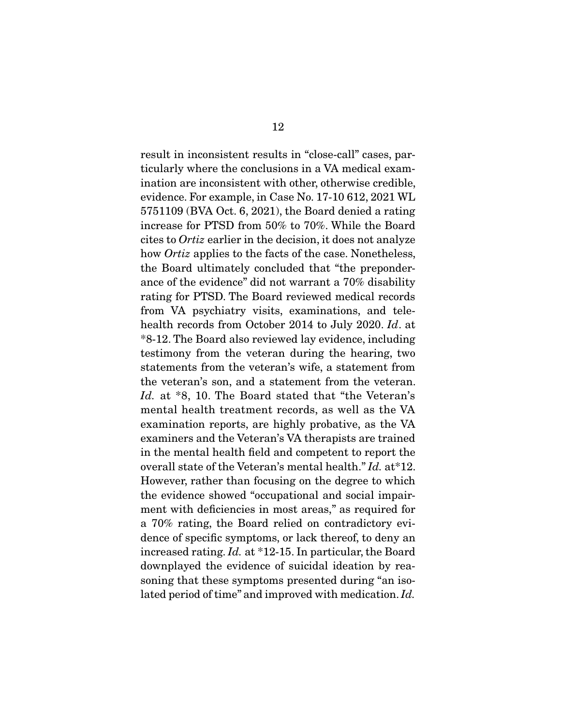result in inconsistent results in "close-call" cases, particularly where the conclusions in a VA medical examination are inconsistent with other, otherwise credible, evidence. For example, in Case No. 17-10 612, 2021 WL 5751109 (BVA Oct. 6, 2021), the Board denied a rating increase for PTSD from 50% to 70%. While the Board cites to Ortiz earlier in the decision, it does not analyze how *Ortiz* applies to the facts of the case. Nonetheless, the Board ultimately concluded that "the preponderance of the evidence" did not warrant a 70% disability rating for PTSD. The Board reviewed medical records from VA psychiatry visits, examinations, and telehealth records from October 2014 to July 2020. Id. at \*8-12. The Board also reviewed lay evidence, including testimony from the veteran during the hearing, two statements from the veteran's wife, a statement from the veteran's son, and a statement from the veteran. Id. at \*8, 10. The Board stated that "the Veteran's mental health treatment records, as well as the VA examination reports, are highly probative, as the VA examiners and the Veteran's VA therapists are trained in the mental health field and competent to report the overall state of the Veteran's mental health." Id. at\*12. However, rather than focusing on the degree to which the evidence showed "occupational and social impairment with deficiencies in most areas," as required for a 70% rating, the Board relied on contradictory evidence of specific symptoms, or lack thereof, to deny an increased rating. Id. at \*12-15. In particular, the Board downplayed the evidence of suicidal ideation by reasoning that these symptoms presented during "an isolated period of time" and improved with medication. Id.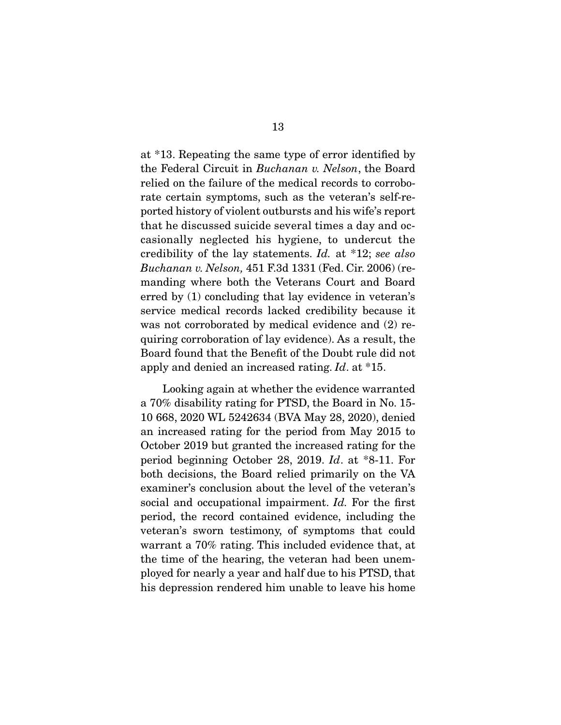at \*13. Repeating the same type of error identified by the Federal Circuit in Buchanan v. Nelson, the Board relied on the failure of the medical records to corroborate certain symptoms, such as the veteran's self-reported history of violent outbursts and his wife's report that he discussed suicide several times a day and occasionally neglected his hygiene, to undercut the credibility of the lay statements. Id. at \*12; see also Buchanan v. Nelson, 451 F.3d 1331 (Fed. Cir. 2006) (remanding where both the Veterans Court and Board erred by (1) concluding that lay evidence in veteran's service medical records lacked credibility because it was not corroborated by medical evidence and (2) requiring corroboration of lay evidence). As a result, the Board found that the Benefit of the Doubt rule did not apply and denied an increased rating. Id. at \*15.

 Looking again at whether the evidence warranted a 70% disability rating for PTSD, the Board in No. 15- 10 668, 2020 WL 5242634 (BVA May 28, 2020), denied an increased rating for the period from May 2015 to October 2019 but granted the increased rating for the period beginning October 28, 2019. Id. at \*8-11. For both decisions, the Board relied primarily on the VA examiner's conclusion about the level of the veteran's social and occupational impairment. Id. For the first period, the record contained evidence, including the veteran's sworn testimony, of symptoms that could warrant a 70% rating. This included evidence that, at the time of the hearing, the veteran had been unemployed for nearly a year and half due to his PTSD, that his depression rendered him unable to leave his home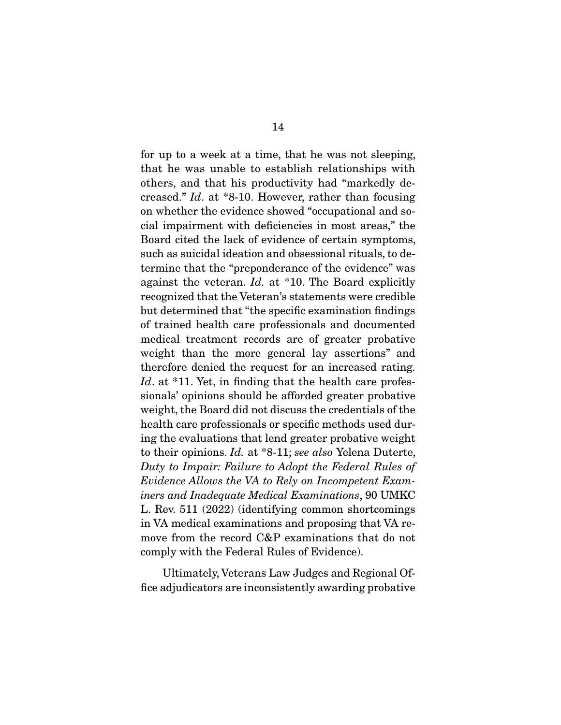for up to a week at a time, that he was not sleeping, that he was unable to establish relationships with others, and that his productivity had "markedly decreased." Id. at \*8-10. However, rather than focusing on whether the evidence showed "occupational and social impairment with deficiencies in most areas," the Board cited the lack of evidence of certain symptoms, such as suicidal ideation and obsessional rituals, to determine that the "preponderance of the evidence" was against the veteran. Id. at \*10. The Board explicitly recognized that the Veteran's statements were credible but determined that "the specific examination findings of trained health care professionals and documented medical treatment records are of greater probative weight than the more general lay assertions" and therefore denied the request for an increased rating. Id. at  $*11$ . Yet, in finding that the health care professionals' opinions should be afforded greater probative weight, the Board did not discuss the credentials of the health care professionals or specific methods used during the evaluations that lend greater probative weight to their opinions. Id. at \*8-11; see also Yelena Duterte, Duty to Impair: Failure to Adopt the Federal Rules of Evidence Allows the VA to Rely on Incompetent Examiners and Inadequate Medical Examinations, 90 UMKC L. Rev. 511 (2022) (identifying common shortcomings in VA medical examinations and proposing that VA remove from the record C&P examinations that do not comply with the Federal Rules of Evidence).

 Ultimately, Veterans Law Judges and Regional Office adjudicators are inconsistently awarding probative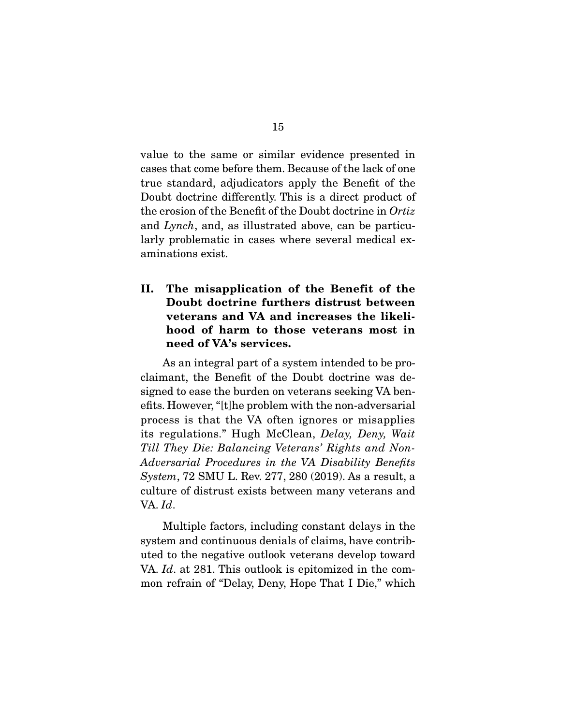value to the same or similar evidence presented in cases that come before them. Because of the lack of one true standard, adjudicators apply the Benefit of the Doubt doctrine differently. This is a direct product of the erosion of the Benefit of the Doubt doctrine in Ortiz and Lynch, and, as illustrated above, can be particularly problematic in cases where several medical examinations exist.

### **II. The misapplication of the Benefit of the Doubt doctrine furthers distrust between veterans and VA and increases the likelihood of harm to those veterans most in need of VA's services.**

 As an integral part of a system intended to be proclaimant, the Benefit of the Doubt doctrine was designed to ease the burden on veterans seeking VA benefits. However, "[t]he problem with the non-adversarial process is that the VA often ignores or misapplies its regulations." Hugh McClean, Delay, Deny, Wait Till They Die: Balancing Veterans' Rights and Non-Adversarial Procedures in the VA Disability Benefits System, 72 SMU L. Rev. 277, 280 (2019). As a result, a culture of distrust exists between many veterans and VA. Id.

 Multiple factors, including constant delays in the system and continuous denials of claims, have contributed to the negative outlook veterans develop toward VA. *Id.* at 281. This outlook is epitomized in the common refrain of "Delay, Deny, Hope That I Die," which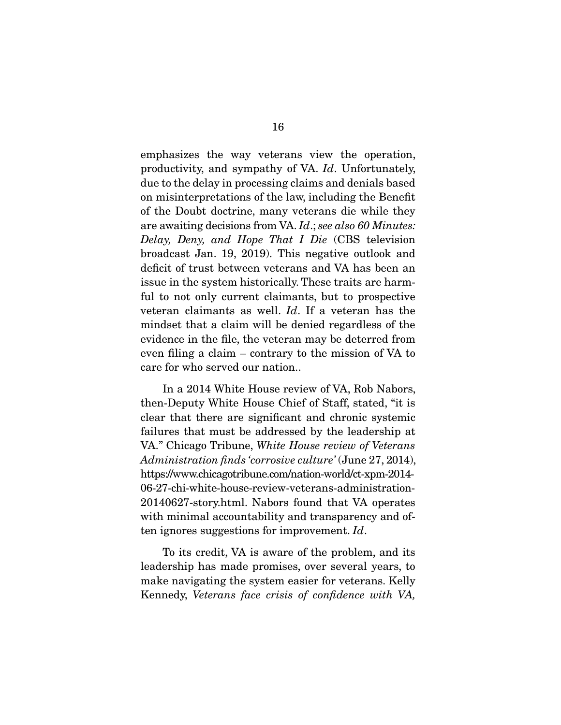emphasizes the way veterans view the operation, productivity, and sympathy of VA. Id. Unfortunately, due to the delay in processing claims and denials based on misinterpretations of the law, including the Benefit of the Doubt doctrine, many veterans die while they are awaiting decisions from VA. Id.; see also 60 Minutes: Delay, Deny, and Hope That I Die (CBS television broadcast Jan. 19, 2019). This negative outlook and deficit of trust between veterans and VA has been an issue in the system historically. These traits are harmful to not only current claimants, but to prospective veteran claimants as well. Id. If a veteran has the mindset that a claim will be denied regardless of the evidence in the file, the veteran may be deterred from even filing a claim – contrary to the mission of VA to care for who served our nation..

 In a 2014 White House review of VA, Rob Nabors, then-Deputy White House Chief of Staff, stated, "it is clear that there are significant and chronic systemic failures that must be addressed by the leadership at VA." Chicago Tribune, White House review of Veterans Administration finds 'corrosive culture' (June 27, 2014), https://www.chicagotribune.com/nation-world/ct-xpm-2014- 06-27-chi-white-house-review-veterans-administration-20140627-story.html. Nabors found that VA operates with minimal accountability and transparency and often ignores suggestions for improvement. Id.

 To its credit, VA is aware of the problem, and its leadership has made promises, over several years, to make navigating the system easier for veterans. Kelly Kennedy, Veterans face crisis of confidence with VA,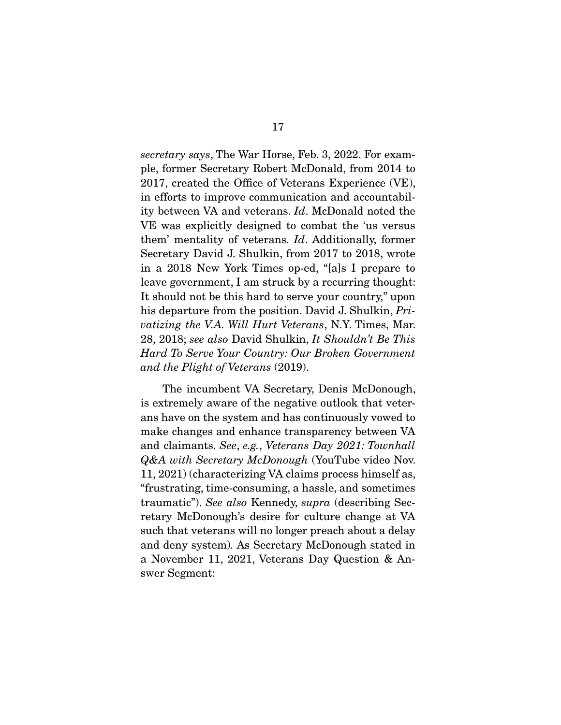secretary says, The War Horse, Feb. 3, 2022. For example, former Secretary Robert McDonald, from 2014 to 2017, created the Office of Veterans Experience (VE), in efforts to improve communication and accountability between VA and veterans. Id. McDonald noted the VE was explicitly designed to combat the 'us versus them' mentality of veterans. Id. Additionally, former Secretary David J. Shulkin, from 2017 to 2018, wrote in a 2018 New York Times op-ed, "[a]s I prepare to leave government, I am struck by a recurring thought: It should not be this hard to serve your country," upon his departure from the position. David J. Shulkin, Privatizing the V.A. Will Hurt Veterans, N.Y. Times, Mar. 28, 2018; see also David Shulkin, It Shouldn't Be This Hard To Serve Your Country: Our Broken Government and the Plight of Veterans (2019).

 The incumbent VA Secretary, Denis McDonough, is extremely aware of the negative outlook that veterans have on the system and has continuously vowed to make changes and enhance transparency between VA and claimants. See, e.g., Veterans Day 2021: Townhall Q&A with Secretary McDonough (YouTube video Nov. 11, 2021) (characterizing VA claims process himself as, "frustrating, time-consuming, a hassle, and sometimes traumatic"). See also Kennedy, supra (describing Secretary McDonough's desire for culture change at VA such that veterans will no longer preach about a delay and deny system). As Secretary McDonough stated in a November 11, 2021, Veterans Day Question & Answer Segment: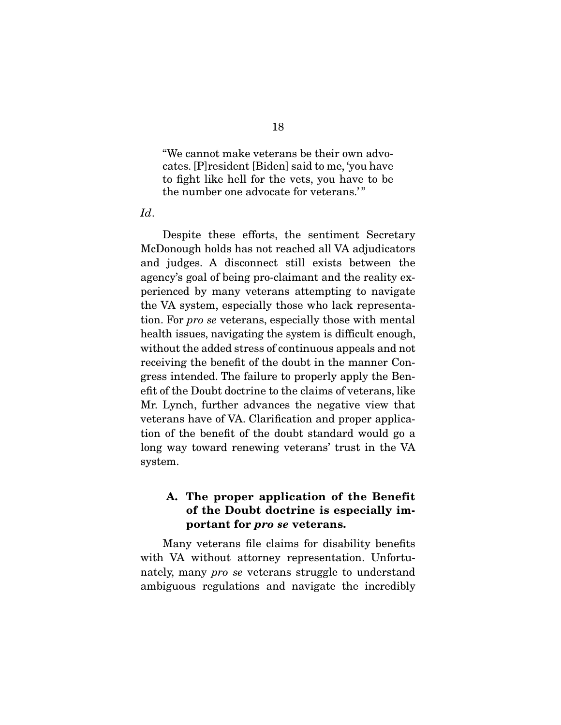"We cannot make veterans be their own advocates. [P]resident [Biden] said to me, 'you have to fight like hell for the vets, you have to be the number one advocate for veterans."

Id.

 Despite these efforts, the sentiment Secretary McDonough holds has not reached all VA adjudicators and judges. A disconnect still exists between the agency's goal of being pro-claimant and the reality experienced by many veterans attempting to navigate the VA system, especially those who lack representation. For pro se veterans, especially those with mental health issues, navigating the system is difficult enough, without the added stress of continuous appeals and not receiving the benefit of the doubt in the manner Congress intended. The failure to properly apply the Benefit of the Doubt doctrine to the claims of veterans, like Mr. Lynch, further advances the negative view that veterans have of VA. Clarification and proper application of the benefit of the doubt standard would go a long way toward renewing veterans' trust in the VA system.

### **A. The proper application of the Benefit of the Doubt doctrine is especially important for** *pro se* **veterans.**

 Many veterans file claims for disability benefits with VA without attorney representation. Unfortunately, many pro se veterans struggle to understand ambiguous regulations and navigate the incredibly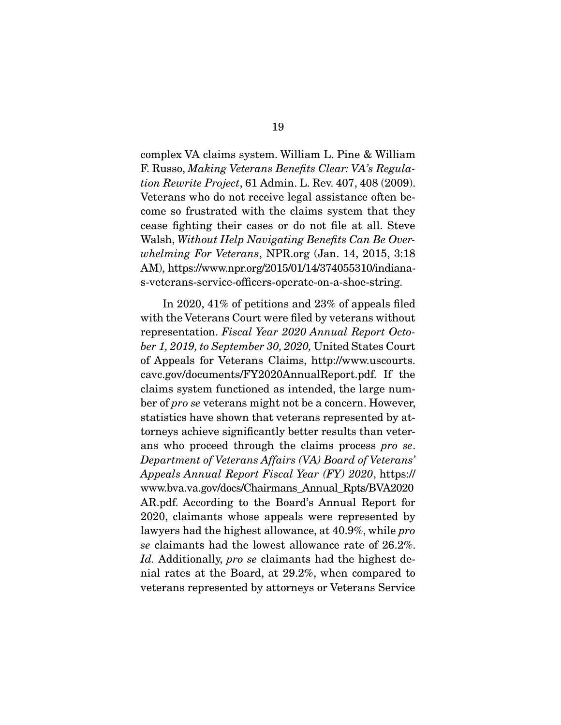complex VA claims system. William L. Pine & William F. Russo, Making Veterans Benefits Clear: VA's Regulation Rewrite Project, 61 Admin. L. Rev. 407, 408 (2009). Veterans who do not receive legal assistance often become so frustrated with the claims system that they cease fighting their cases or do not file at all. Steve Walsh, Without Help Navigating Benefits Can Be Overwhelming For Veterans, NPR.org (Jan. 14, 2015, 3:18 AM), https://www.npr.org/2015/01/14/374055310/indianas-veterans-service-officers-operate-on-a-shoe-string.

 In 2020, 41% of petitions and 23% of appeals filed with the Veterans Court were filed by veterans without representation. Fiscal Year 2020 Annual Report October 1, 2019, to September 30, 2020, United States Court of Appeals for Veterans Claims, http://www.uscourts. cavc.gov/documents/FY2020AnnualReport.pdf. If the claims system functioned as intended, the large number of pro se veterans might not be a concern. However, statistics have shown that veterans represented by attorneys achieve significantly better results than veterans who proceed through the claims process pro se. Department of Veterans Affairs (VA) Board of Veterans' Appeals Annual Report Fiscal Year (FY) 2020, https:// www.bva.va.gov/docs/Chairmans\_Annual\_Rpts/BVA2020 AR.pdf. According to the Board's Annual Report for 2020, claimants whose appeals were represented by lawyers had the highest allowance, at 40.9%, while *pro* se claimants had the lowest allowance rate of 26.2%. Id. Additionally, pro se claimants had the highest denial rates at the Board, at 29.2%, when compared to veterans represented by attorneys or Veterans Service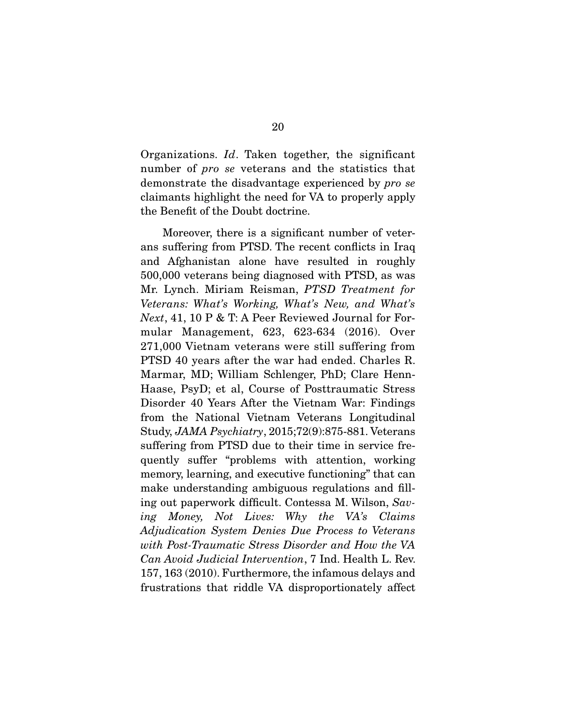Organizations. Id. Taken together, the significant number of *pro se* veterans and the statistics that demonstrate the disadvantage experienced by pro se claimants highlight the need for VA to properly apply the Benefit of the Doubt doctrine.

 Moreover, there is a significant number of veterans suffering from PTSD. The recent conflicts in Iraq and Afghanistan alone have resulted in roughly 500,000 veterans being diagnosed with PTSD, as was Mr. Lynch. Miriam Reisman, PTSD Treatment for Veterans: What's Working, What's New, and What's Next, 41, 10 P & T: A Peer Reviewed Journal for Formular Management, 623, 623-634 (2016). Over 271,000 Vietnam veterans were still suffering from PTSD 40 years after the war had ended. Charles R. Marmar, MD; William Schlenger, PhD; Clare Henn-Haase, PsyD; et al, Course of Posttraumatic Stress Disorder 40 Years After the Vietnam War: Findings from the National Vietnam Veterans Longitudinal Study, JAMA Psychiatry, 2015;72(9):875-881. Veterans suffering from PTSD due to their time in service frequently suffer "problems with attention, working memory, learning, and executive functioning" that can make understanding ambiguous regulations and filling out paperwork difficult. Contessa M. Wilson, Saving Money, Not Lives: Why the VA's Claims Adjudication System Denies Due Process to Veterans with Post-Traumatic Stress Disorder and How the VA Can Avoid Judicial Intervention, 7 Ind. Health L. Rev. 157, 163 (2010). Furthermore, the infamous delays and frustrations that riddle VA disproportionately affect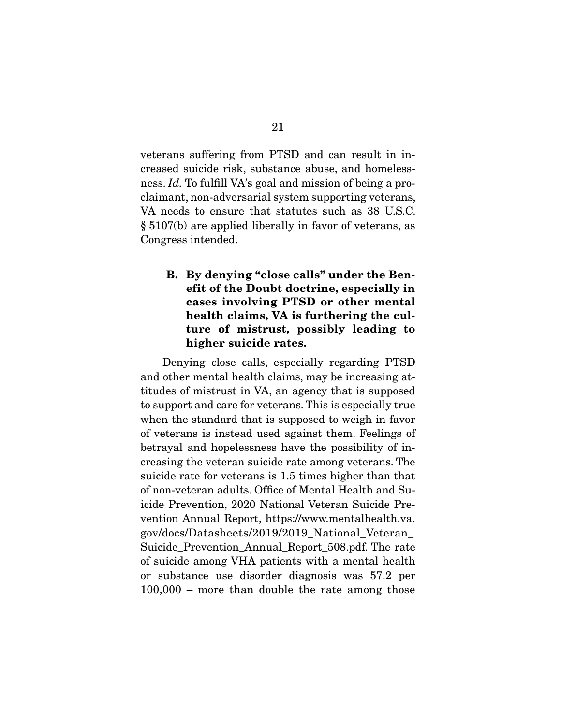veterans suffering from PTSD and can result in increased suicide risk, substance abuse, and homelessness. Id. To fulfill VA's goal and mission of being a proclaimant, non-adversarial system supporting veterans, VA needs to ensure that statutes such as 38 U.S.C. § 5107(b) are applied liberally in favor of veterans, as Congress intended.

## **B. By denying "close calls" under the Benefit of the Doubt doctrine, especially in cases involving PTSD or other mental health claims, VA is furthering the culture of mistrust, possibly leading to higher suicide rates.**

 Denying close calls, especially regarding PTSD and other mental health claims, may be increasing attitudes of mistrust in VA, an agency that is supposed to support and care for veterans. This is especially true when the standard that is supposed to weigh in favor of veterans is instead used against them. Feelings of betrayal and hopelessness have the possibility of increasing the veteran suicide rate among veterans. The suicide rate for veterans is 1.5 times higher than that of non-veteran adults. Office of Mental Health and Suicide Prevention, 2020 National Veteran Suicide Prevention Annual Report, https://www.mentalhealth.va. gov/docs/Datasheets/2019/2019\_National\_Veteran\_ Suicide\_Prevention\_Annual\_Report\_508.pdf. The rate of suicide among VHA patients with a mental health or substance use disorder diagnosis was 57.2 per 100,000 – more than double the rate among those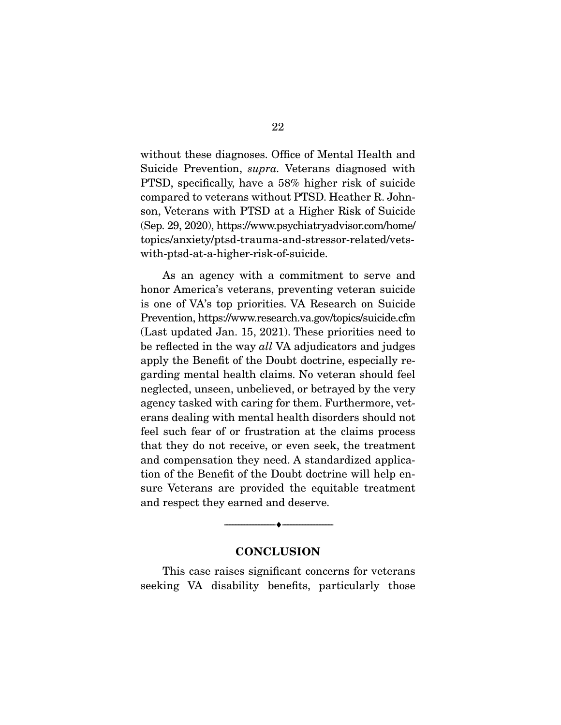without these diagnoses. Office of Mental Health and Suicide Prevention, supra. Veterans diagnosed with PTSD, specifically, have a 58% higher risk of suicide compared to veterans without PTSD. Heather R. Johnson, Veterans with PTSD at a Higher Risk of Suicide (Sep. 29, 2020), https://www.psychiatryadvisor.com/home/ topics/anxiety/ptsd-trauma-and-stressor-related/vetswith-ptsd-at-a-higher-risk-of-suicide.

 As an agency with a commitment to serve and honor America's veterans, preventing veteran suicide is one of VA's top priorities. VA Research on Suicide Prevention, https://www.research.va.gov/topics/suicide.cfm (Last updated Jan. 15, 2021). These priorities need to be reflected in the way all VA adjudicators and judges apply the Benefit of the Doubt doctrine, especially regarding mental health claims. No veteran should feel neglected, unseen, unbelieved, or betrayed by the very agency tasked with caring for them. Furthermore, veterans dealing with mental health disorders should not feel such fear of or frustration at the claims process that they do not receive, or even seek, the treatment and compensation they need. A standardized application of the Benefit of the Doubt doctrine will help ensure Veterans are provided the equitable treatment and respect they earned and deserve.

#### **CONCLUSION**

--------------------------------- ♦ ---------------------------------

 This case raises significant concerns for veterans seeking VA disability benefits, particularly those